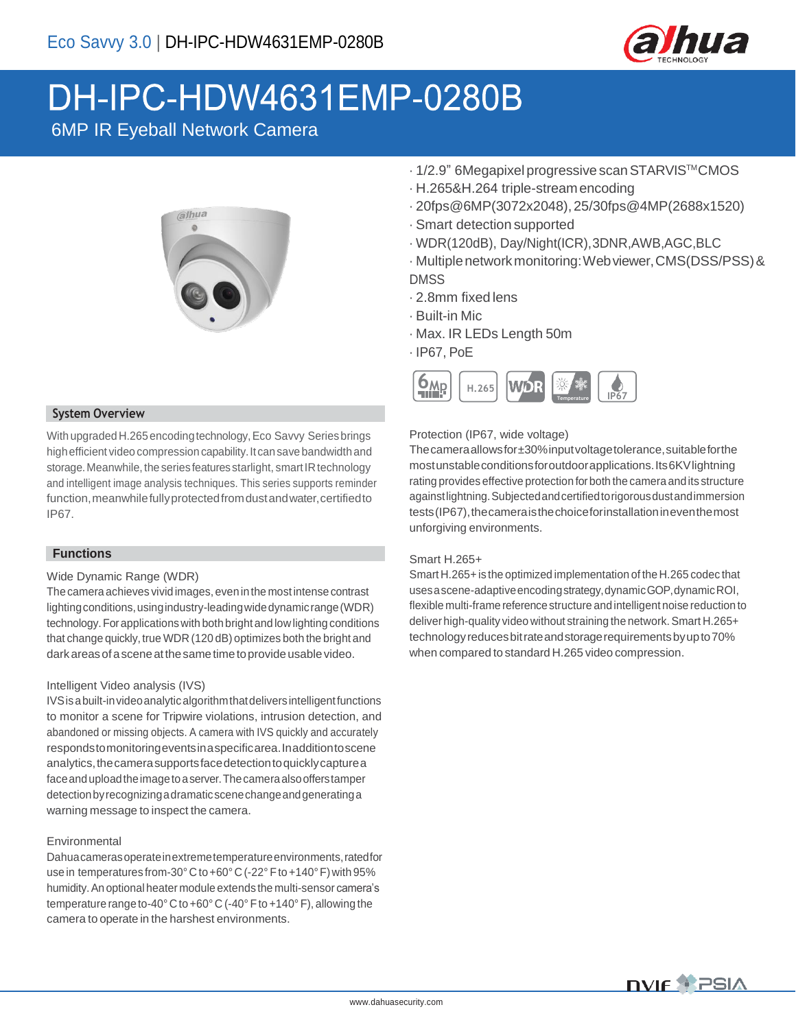

# DH-IPC-HDW4631EMP-0280B

6MP IR Eyeball Network Camera



#### **System Overview**

With upgraded H.265 encoding technology, Eco Savvy Series brings high efficient video compression capability. It can save bandwidth and storage. Meanwhile, the series features starlight, smart IR technology and intelligent image analysis techniques. This series supports reminder function, meanwhile fully protected from dust and water, certified to IP67.

#### **Functions**

#### Wide Dynamic Range (WDR)

The camera achieves vivid images, even in the most intense contrast lightingconditions,usingindustry-leadingwidedynamicrange(WDR) technology.Forapplicationswith both bright and low lighting conditions that change quickly, true WDR (120 dB) optimizes both the bright and darkareasofasceneatthesametimetoprovideusable video.

#### Intelligent Video analysis (IVS)

IVS is a built-in video analytic algorithm that delivers intelligent functions to monitor a scene for Tripwire violations, intrusion detection, and abandoned or missing objects. A camera with IVS quickly and accurately respondstomonitoringeventsinaspecificarea.Inadditiontoscene analytics, the camera supports face detection to quickly capture a faceanduploadtheimagetoaserver.Thecameraalsoofferstamper detectionbyrecognizingadramaticscenechangeandgeneratinga warning message to inspect the camera.

#### Environmental

Dahuacamerasoperateinextremetemperatureenvironments,ratedfor use in temperatures from-30°C to +60°C (-22° F to +140°F) with 95% humidity.An optional heater module extends the multi-sensor camera's temperature range to-40°C to +60°C (-40°F to +140°F), allowing the camera to operate in the harshest environments.

- · 1/2.9" 6Megapixel progressivescanSTARVISTMCMOS
- · H.265&H.264 triple-streamencoding
- · 20fps@6MP(3072x2048),25/30fps@4MP(2688x1520)
- · Smart detection supported
- · WDR(120dB), Day/Night(ICR),3DNR,AWB,AGC,BLC
- · Multiplenetworkmonitoring:Webviewer,CMS(DSS/PSS)& DMSS
- · 2.8mm fixed lens
- · Built-in Mic
- · Max. IR LEDs Length 50m
- · IP67, PoE



#### Protection (IP67, wide voltage)

Thecameraallowsfor±30%inputvoltagetolerance,suitableforthe mostunstableconditionsforoutdoorapplications.Its6KVlightning rating provides effective protection forboth the camera andits structure againstlightning.Subjectedandcertifiedtorigorousdustandimmersion tests (IP67), the camera is the choice for installation in even the most unforgiving environments.

#### Smart H.265+

Smart H.265+ is the optimized implementation of the H.265 codec that usesascene-adaptiveencodingstrategy,dynamicGOP,dynamicROI, flexible multi-frame referencestructure and intelligent noise reduction to deliver high-quality video without straining the network. Smart H.265+ technologyreducesbitrateandstoragerequirementsbyupto70% when compared to standard H.265 video compression.

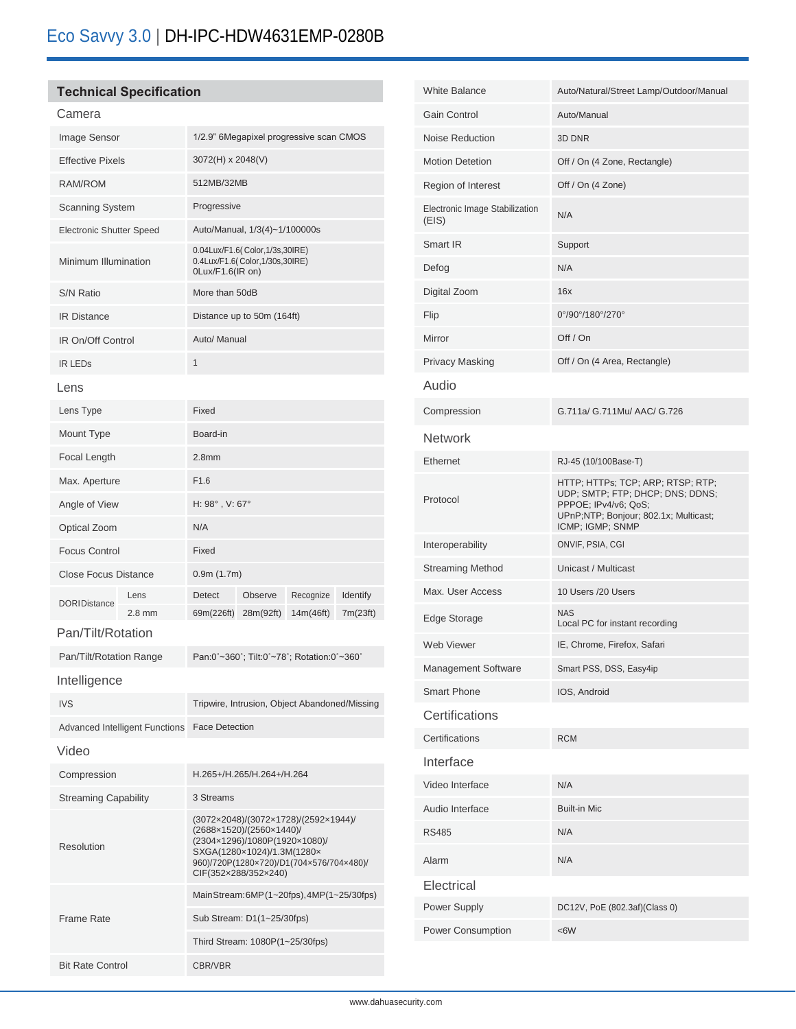### **Technical Specification**

#### Camera

| Image Sensor                    |          | 1/2.9" 6Megapixel progressive scan CMOS                                                                                                                                                             |           |           |          |
|---------------------------------|----------|-----------------------------------------------------------------------------------------------------------------------------------------------------------------------------------------------------|-----------|-----------|----------|
| <b>Effective Pixels</b>         |          | 3072(H) x 2048(V)                                                                                                                                                                                   |           |           |          |
| <b>RAM/ROM</b>                  |          | 512MB/32MB                                                                                                                                                                                          |           |           |          |
| <b>Scanning System</b>          |          | Progressive                                                                                                                                                                                         |           |           |          |
| <b>Electronic Shutter Speed</b> |          | Auto/Manual, 1/3(4)~1/100000s                                                                                                                                                                       |           |           |          |
| Minimum Illumination            |          | 0.04Lux/F1.6(Color,1/3s,30IRE)<br>0.4Lux/F1.6(Color,1/30s,30IRE)<br>0Lux/F1.6(IR on)                                                                                                                |           |           |          |
| <b>S/N Ratio</b>                |          | More than 50dB                                                                                                                                                                                      |           |           |          |
| <b>IR Distance</b>              |          | Distance up to 50m (164ft)                                                                                                                                                                          |           |           |          |
| IR On/Off Control               |          | Auto/ Manual                                                                                                                                                                                        |           |           |          |
| <b>IR LEDS</b>                  |          | 1                                                                                                                                                                                                   |           |           |          |
| Lens                            |          |                                                                                                                                                                                                     |           |           |          |
| Lens Type                       |          | Fixed                                                                                                                                                                                               |           |           |          |
| Mount Type                      |          | Board-in                                                                                                                                                                                            |           |           |          |
| Focal Length                    |          | 2.8 <sub>mm</sub>                                                                                                                                                                                   |           |           |          |
| Max. Aperture                   |          | F1.6                                                                                                                                                                                                |           |           |          |
| Angle of View                   |          | H: 98°, V: 67°                                                                                                                                                                                      |           |           |          |
| Optical Zoom                    |          | N/A                                                                                                                                                                                                 |           |           |          |
| <b>Focus Control</b>            |          | Fixed                                                                                                                                                                                               |           |           |          |
| <b>Close Focus Distance</b>     |          | 0.9m(1.7m)                                                                                                                                                                                          |           |           |          |
| <b>DORIDistance</b>             | Lens     | <b>Detect</b>                                                                                                                                                                                       | Observe   | Recognize | Identify |
|                                 | $2.8$ mm | 69m(226ft)                                                                                                                                                                                          | 28m(92ft) | 14m(46ft) | 7m(23ft) |
| Pan/Tilt/Rotation               |          |                                                                                                                                                                                                     |           |           |          |
| Pan/Tilt/Rotation Range         |          | Pan:0°~360°; Tilt:0°~78°; Rotation:0°~360°                                                                                                                                                          |           |           |          |
| Intelligence                    |          |                                                                                                                                                                                                     |           |           |          |
| <b>IVS</b>                      |          | Tripwire, Intrusion, Object Abandoned/Missing                                                                                                                                                       |           |           |          |
| Advanced Intelligent Functions  |          | <b>Face Detection</b>                                                                                                                                                                               |           |           |          |
| Video                           |          |                                                                                                                                                                                                     |           |           |          |
| Compression                     |          | H.265+/H.265/H.264+/H.264                                                                                                                                                                           |           |           |          |
| <b>Streaming Capability</b>     |          | 3 Streams                                                                                                                                                                                           |           |           |          |
| Resolution                      |          | (3072×2048)/(3072×1728)/(2592×1944)/<br>(2688×1520)/(2560×1440)/<br>(2304×1296)/1080P(1920×1080)/<br>SXGA(1280×1024)/1.3M(1280×<br>960)/720P(1280x720)/D1(704x576/704x480)/<br>CIF(352×288/352×240) |           |           |          |
| <b>Frame Rate</b>               |          | Main Stream: 6MP (1~20fps), 4MP (1~25/30fps)                                                                                                                                                        |           |           |          |
|                                 |          | Sub Stream: D1(1~25/30fps)                                                                                                                                                                          |           |           |          |
|                                 |          | Third Stream: 1080P(1~25/30fps)                                                                                                                                                                     |           |           |          |
| <b>Bit Rate Control</b>         |          | CBR/VBR                                                                                                                                                                                             |           |           |          |

| <b>White Balance</b>                    | Auto/Natural/Street Lamp/Outdoor/Manual                                                                                                                    |
|-----------------------------------------|------------------------------------------------------------------------------------------------------------------------------------------------------------|
| Gain Control                            | Auto/Manual                                                                                                                                                |
| Noise Reduction                         | 3D DNR                                                                                                                                                     |
| <b>Motion Detetion</b>                  | Off / On (4 Zone, Rectangle)                                                                                                                               |
| Region of Interest                      | Off / On (4 Zone)                                                                                                                                          |
| Electronic Image Stabilization<br>(EIS) | N/A                                                                                                                                                        |
| Smart IR                                | Support                                                                                                                                                    |
| Defog                                   | N/A                                                                                                                                                        |
| Digital Zoom                            | 16x                                                                                                                                                        |
| Flip                                    | 0°/90°/180°/270°                                                                                                                                           |
| Mirror                                  | Off / On                                                                                                                                                   |
| <b>Privacy Masking</b>                  | Off / On (4 Area, Rectangle)                                                                                                                               |
| Audio                                   |                                                                                                                                                            |
| Compression                             | G.711a/ G.711Mu/ AAC/ G.726                                                                                                                                |
| <b>Network</b>                          |                                                                                                                                                            |
| Ethernet                                | RJ-45 (10/100Base-T)                                                                                                                                       |
| Protocol                                | HTTP; HTTPs; TCP; ARP; RTSP; RTP;<br>UDP; SMTP; FTP; DHCP; DNS; DDNS;<br>PPPOE; IPv4/v6; QoS;<br>UPnP;NTP; Bonjour; 802.1x; Multicast;<br>ICMP; IGMP; SNMP |
| Interoperability                        | ONVIF, PSIA, CGI                                                                                                                                           |
| <b>Streaming Method</b>                 | Unicast / Multicast                                                                                                                                        |
| Max. User Access                        | 10 Users /20 Users                                                                                                                                         |
| Edge Storage                            | <b>NAS</b><br>Local PC for instant recording                                                                                                               |
| Web Viewer                              | IE, Chrome, Firefox, Safari                                                                                                                                |
| Management Software                     | Smart PSS, DSS, Easy4ip                                                                                                                                    |
| <b>Smart Phone</b>                      | IOS, Android                                                                                                                                               |
| Certifications                          |                                                                                                                                                            |
| Certifications                          | <b>RCM</b>                                                                                                                                                 |
| Interface                               |                                                                                                                                                            |
| Video Interface                         | N/A                                                                                                                                                        |
| Audio Interface                         | <b>Built-in Mic</b>                                                                                                                                        |
| <b>RS485</b>                            | N/A                                                                                                                                                        |
| Alarm                                   | N/A                                                                                                                                                        |
| Electrical                              |                                                                                                                                                            |
| Power Supply                            | DC12V, PoE (802.3af)(Class 0)                                                                                                                              |
| Power Consumption                       | <6W                                                                                                                                                        |
|                                         |                                                                                                                                                            |